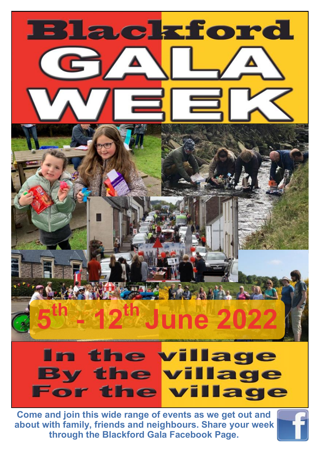

**about with family, friends and neighbours. Share your week through the Blackford Gala Facebook Page.**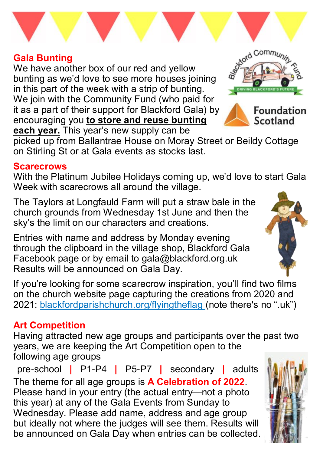#### **Gala Bunting**

We have another box of our red and yellow bunting as we'd love to see more houses joining in this part of the week with a strip of bunting. We join with the Community Fund (who paid for it as a part of their support for Blackford Gala) by encouraging you **to store and reuse bunting each year.** This year's new supply can be

picked up from Ballantrae House on Moray Street or Beildy Cottage on Stirling St or at Gala events as stocks last.

#### **Scarecrows**

With the Platinum Jubilee Holidays coming up, we'd love to start Gala Week with scarecrows all around the village.

The Taylors at Longfauld Farm will put a straw bale in the church grounds from Wednesday 1st June and then the sky's the limit on our characters and creations.

Entries with name and address by Monday evening through the clipboard in the village shop, Blackford Gala Facebook page or by email to gala@blackford.org.uk Results will be announced on Gala Day.

If you're looking for some scarecrow inspiration, you'll find two films on the church website page capturing the creations from 2020 and 2021: blackfordparishchurch.org/flyingtheflag (note there's no ".uk")

## **Art Competition**

Having attracted new age groups and participants over the past two years, we are keeping the Art Competition open to the following age groups

pre-school **|** P1-P4 **|** P5-P7 **|** secondary **|** adults The theme for all age groups is **A Celebration of 2022**. Please hand in your entry (the actual entry—not a photo this year) at any of the Gala Events from Sunday to Wednesday. Please add name, address and age group but ideally not where the judges will see them. Results will be announced on Gala Day when entries can be collected.







**Foundation** Scotland

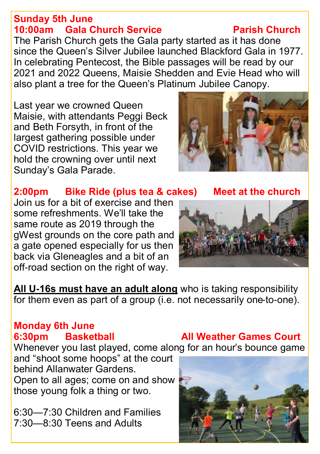#### **Sunday 5th June 10:00am** Gala Church Service **Parish Church**

The Parish Church gets the Gala party started as it has done since the Queen's Silver Jubilee launched Blackford Gala in 1977. In celebrating Pentecost, the Bible passages will be read by our 2021 and 2022 Queens, Maisie Shedden and Evie Head who will also plant a tree for the Queen's Platinum Jubilee Canopy.

Last year we crowned Queen Maisie, with attendants Peggi Beck and Beth Forsyth, in front of the largest gathering possible under COVID restrictions. This year we hold the crowning over until next Sunday's Gala Parade.



## **2:00pm Bike Ride (plus tea & cakes) Meet at the church**

Join us for a bit of exercise and then some refreshments. We'll take the same route as 2019 through the gWest grounds on the core path and a gate opened especially for us then back via Gleneagles and a bit of an off-road section on the right of way.



**All U-16s must have an adult along** who is taking responsibility for them even as part of a group (i.e. not necessarily one-to-one).

## **Monday 6th June**

Whenever you last played, come along for an hour's bounce game

and "shoot some hoops" at the court behind Allanwater Gardens. Open to all ages; come on and show those young folk a thing or two.

6:30—7:30 Children and Families 7:30—8:30 Teens and Adults

## **6:30pm Basketball All Weather Games Court**

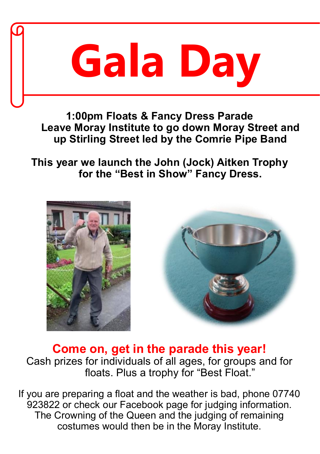

**1:00pm Floats & Fancy Dress Parade Leave Moray Institute to go down Moray Street and up Stirling Street led by the Comrie Pipe Band**

**This year we launch the John (Jock) Aitken Trophy for the "Best in Show" Fancy Dress.**





**Come on, get in the parade this year!**  Cash prizes for individuals of all ages, for groups and for floats. Plus a trophy for "Best Float."

If you are preparing a float and the weather is bad, phone 07740 923822 or check our Facebook page for judging information. The Crowning of the Queen and the judging of remaining costumes would then be in the Moray Institute.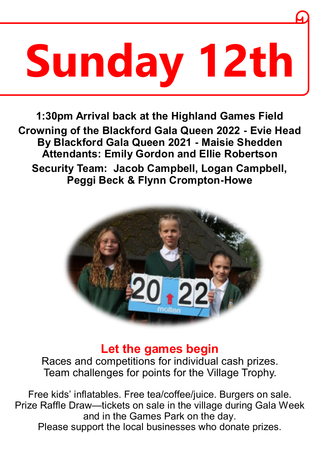## **Sunday 12th**

**1:30pm Arrival back at the Highland Games Field Crowning of the Blackford Gala Queen 2022 - Evie Head By Blackford Gala Queen 2021 - Maisie Shedden Attendants: Emily Gordon and Ellie Robertson Security Team: Jacob Campbell, Logan Campbell, Peggi Beck & Flynn Crompton-Howe**



## **Let the games begin**

Races and competitions for individual cash prizes. Team challenges for points for the Village Trophy.

Free kids' inflatables. Free tea/coffee/juice. Burgers on sale. Prize Raffle Draw—tickets on sale in the village during Gala Week and in the Games Park on the day. Please support the local businesses who donate prizes.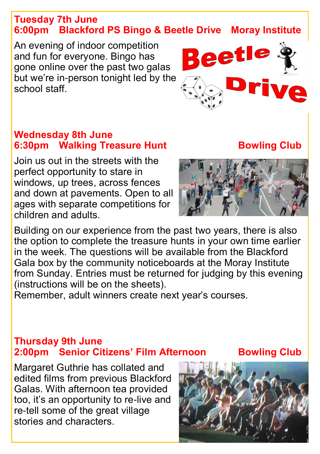#### **Tuesday 7th June 6:00pm Blackford PS Bingo & Beetle Drive Moray Institute**

An evening of indoor competition and fun for everyone. Bingo has gone online over the past two galas but we're in-person tonight led by the school staff.

#### **Wednesday 8th June 6:30pm Walking Treasure Hunt Bowling Club**

Join us out in the streets with the perfect opportunity to stare in windows, up trees, across fences and down at pavements. Open to all ages with separate competitions for children and adults.



Beetle

Building on our experience from the past two years, there is also the option to complete the treasure hunts in your own time earlier in the week. The questions will be available from the Blackford Gala box by the community noticeboards at the Moray Institute from Sunday. Entries must be returned for judging by this evening (instructions will be on the sheets).

Remember, adult winners create next year's courses.

#### **Thursday 9th June 2:00pm Senior Citizens' Film Afternoon Bowling Club**

Margaret Guthrie has collated and edited films from previous Blackford Galas. With afternoon tea provided too, it's an opportunity to re-live and re-tell some of the great village stories and characters.

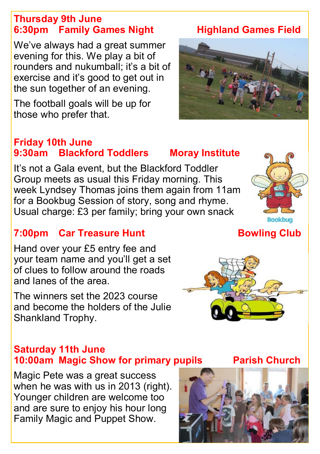#### **Thursday 9th June 6:30pm Family Games Night Highland Games Field**

We've always had a great summer evening for this. We play a bit of rounders and nukumball; it's a bit of exercise and it's good to get out in the sun together of an evening.

The football goals will be up for those who prefer that.

#### **Friday 10th June 9:30am Blackford Toddlers Moray Institute**

It's not a Gala event, but the Blackford Toddler Group meets as usual this Friday morning. This week Lyndsey Thomas joins them again from 11am for a Bookbug Session of story, song and rhyme. Usual charge: £3 per family; bring your own snack

## **7:00pm Car Treasure Hunt Carry Control Bowling Club**

Hand over your £5 entry fee and your team name and you'll get a set of clues to follow around the roads and lanes of the area.

The winners set the 2023 course and become the holders of the Julie Shankland Trophy.

#### **Saturday 11th June 10:00am Magic Show for primary pupils Parish Church**

Magic Pete was a great success when he was with us in 2013 (right). Younger children are welcome too and are sure to enjoy his hour long Family Magic and Puppet Show.



# **Bookbug**